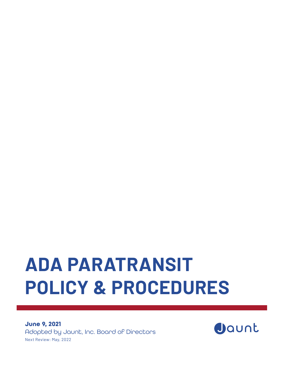# **ADA PARATRANSIT POLICY & PROCEDURES**

**June 9, 2021** Adopted by Jaunt, Inc. Board of Directors Next Review: May, 2022

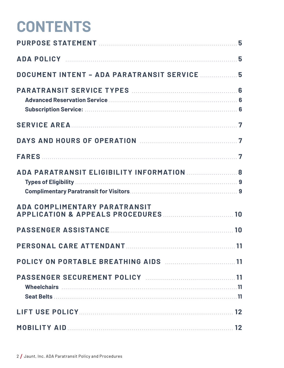# **CONTENTS**

| DOCUMENT INTENT - ADA PARATRANSIT SERVICE  5       |    |
|----------------------------------------------------|----|
|                                                    |    |
|                                                    |    |
| DAYS AND HOURS OF OPERATION MARKETING MATTER 7     |    |
|                                                    |    |
| ADA PARATRANSIT ELIGIBILITY INFORMATION  8         |    |
| <b>ADA COMPLIMENTARY PARATRANSIT</b>               |    |
|                                                    |    |
| PERSONAL CARE ATTENDANT                            | 11 |
| POLICY ON PORTABLE BREATHING AIDS <b>Manual</b> 11 |    |
| PASSENGER SECUREMENT POLICY MARRIELLAND 11         |    |
|                                                    | 12 |
|                                                    |    |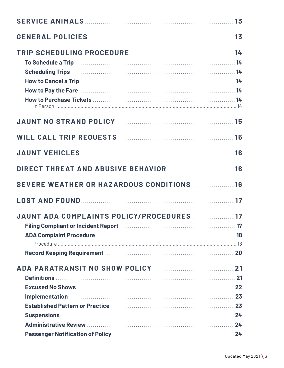| How to Pay the Fare Material Account of the Service of the Service of the Service of the Service of the Service of the Service of the Service of the Service of the Service of the Service of the Service of the Service of th |  |
|--------------------------------------------------------------------------------------------------------------------------------------------------------------------------------------------------------------------------------|--|
|                                                                                                                                                                                                                                |  |
| <b>JAUNT NO STRAND POLICY MANUAL CONSUMINATION 15</b>                                                                                                                                                                          |  |
|                                                                                                                                                                                                                                |  |
|                                                                                                                                                                                                                                |  |
| DIRECT THREAT AND ABUSIVE BEHAVIOR  16                                                                                                                                                                                         |  |
| SEVERE WEATHER OR HAZARDOUS CONDITIONS <b>MALLERY 18</b>                                                                                                                                                                       |  |
|                                                                                                                                                                                                                                |  |
| JAUNT ADA COMPLAINTS POLICY/PROCEDURES  17                                                                                                                                                                                     |  |
|                                                                                                                                                                                                                                |  |
|                                                                                                                                                                                                                                |  |
| Record Keeping Requirement Manual Communications and 20                                                                                                                                                                        |  |
|                                                                                                                                                                                                                                |  |
|                                                                                                                                                                                                                                |  |
|                                                                                                                                                                                                                                |  |
| Implementation 23                                                                                                                                                                                                              |  |
|                                                                                                                                                                                                                                |  |
|                                                                                                                                                                                                                                |  |
|                                                                                                                                                                                                                                |  |
|                                                                                                                                                                                                                                |  |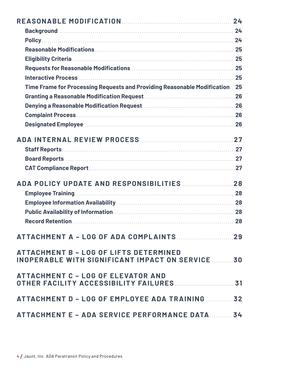| Time Frame for Processing Requests and Providing Reasonable Modification 25 |    |
|-----------------------------------------------------------------------------|----|
|                                                                             |    |
|                                                                             |    |
|                                                                             |    |
|                                                                             |    |
|                                                                             |    |
|                                                                             |    |
|                                                                             |    |
|                                                                             |    |
|                                                                             |    |
|                                                                             |    |
|                                                                             |    |
|                                                                             |    |
|                                                                             |    |
|                                                                             |    |
|                                                                             |    |
|                                                                             |    |
|                                                                             | 29 |
| <b>ATTACHMENT B - LOG OF LIFTS DETERMINED</b>                               |    |
| <b>INOPERABLE WITH SIGNIFICANT IMPACT ON SERVICE 30</b>                     |    |
|                                                                             |    |
| <b>ATTACHMENT C - LOG OF ELEVATOR AND</b>                                   |    |
|                                                                             |    |
| ATTACHMENT D - LOG OF EMPLOYEE ADA TRAINING                                 | 32 |
|                                                                             |    |
| ATTACHMENT E - ADA SERVICE PERFORMANCE DATA 34                              |    |
|                                                                             |    |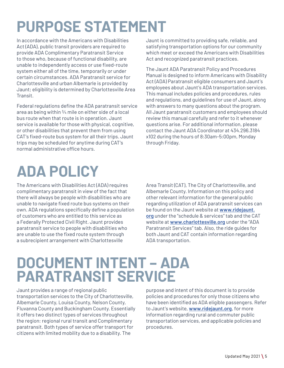# **PURPOSE STATEMENT**

In accordance with the Americans with Disabilities Act (ADA), public transit providers are required to provide ADA Complimentary Paratransit Service to those who, because of functional disability, are unable to independently access or use fixed-route system either all of the time, temporarily or under certain circumstances. ADA Paratransit service for Charlottesville and urban Albemarle is provided by Jaunt; eligibility is determined by Charlottesville Area Transit.

Federal regulations define the ADA paratransit service area as being within ¾ mile on either side of a local bus route when that route is in operation. Jaunt service is available for those with physical, cognitive, or other disabilities that prevent them from using CAT's fixed-route bus system for all their trips. Jaunt trips may be scheduled for anytime during CAT's normal administrative office hours.

Jaunt is committed to providing safe, reliable, and satisfying transportation options for our community which meet or exceed the Americans with Disabilities Act and recognized paratransit practices.

The Jaunt ADA Paratransit Policy and Procedures Manual is designed to inform Americans with Disability Act (ADA) Paratransit eligible consumers and Jaunt's employees about Jaunt's ADA transportation services. This manual includes policies and procedures, rules and regulations, and guidelines for use of Jaunt, along with answers to many questions about the program. All Jaunt paratransit customers and employees should review this manual carefully and refer to it whenever questions arise. For additional information, please contact the Jaunt ADA Coordinator at 434.296.3184 x102 during the hours of 8:30am-5:00pm, Monday through Friday.

# **ADA POLICY**

The Americans with Disabilities Act (ADA) requires complimentary paratransit in view of the fact that there will always be people with disabilities who are unable to navigate fixed route bus systems on their own. ADA regulations specifically define a population of customers who are entitled to this service as a Federally Protected Civil Right. Jaunt provides paratransit service to people with disabilities who are unable to use the fixed route system through a subrecipient arrangement with Charlottesville

Area Transit (CAT), The City of Charlottesville, and Albemarle County. Information on this policy and other relevant information for the general public regarding utilization of ADA paratransit services can be found on the Jaunt website at **www.ridejaunt. org** under the "schedule & services" tab and the CAT website at **www.charlottesville.org** under the "ADA Paratransit Services" tab. Also, the ride guides for both Jaunt and CAT contain information regarding ADA transportation.

## **DOCUMENT INTENT – ADA PARATRANSIT SERVICE**

Jaunt provides a range of regional public transportation services to the City of Charlottesville, Albemarle County, Louisa County, Nelson County, Fluvanna County and Buckingham County. Essentially it offers two distinct types of services throughout the region: regional rural transit and Complimentary paratransit. Both types of service offer transport for citizens with limited mobility due to a disability. The

purpose and intent of this document is to provide policies and procedures for only those citizens who have been identified as ADA eligible passengers. Refer to Jaunt's website, **www.ridejaunt.org**, for more information regarding rural and commuter public transportation services, and applicable policies and procedures.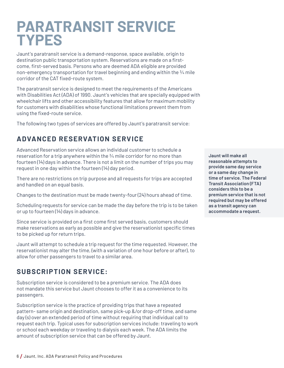## **PARATRANSIT SERVICE TYPES**

Jaunt's paratransit service is a demand-response, space available, origin to destination public transportation system. Reservations are made on a firstcome, first-served basis. Persons who are deemed ADA eligible are provided non-emergency transportation for travel beginning and ending within the  $\frac{3}{4}$  mile corridor of the CAT fixed-route system.

The paratransit service is designed to meet the requirements of the Americans with Disabilities Act (ADA) of 1990. Jaunt's vehicles that are specially equipped with wheelchair lifts and other accessibility features that allow for maximum mobility for customers with disabilities whose functional limitations prevent them from using the fixed-route service.

The following two types of services are offered by Jaunt's paratransit service:

#### **ADVANCED RESERVATION SERVICE**

Advanced Reservation service allows an individual customer to schedule a reservation for a trip anywhere within the  $\frac{3}{4}$  mile corridor for no more than fourteen (14) days in advance. There is not a limit on the number of trips you may request in one day within the fourteen (14) day period.

There are no restrictions on trip purpose and all requests for trips are accepted and handled on an equal basis.

Changes to the destination must be made twenty-four (24) hours ahead of time.

Scheduling requests for service can be made the day before the trip is to be taken or up to fourteen (14) days in advance.

Since service is provided on a first come first served basis, customers should make reservations as early as possible and give the reservationist specific times to be picked up for return trips.

Jaunt will attempt to schedule a trip request for the time requested. However, the reservationist may alter the time, (with a variation of one hour before or after), to allow for other passengers to travel to a similar area.

#### **SUBSCRIPTION SERVICE:**

Subscription service is considered to be a premium service. The ADA does not mandate this service but Jaunt chooses to offer it as a convenience to its passengers.

Subscription service is the practice of providing trips that have a repeated pattern- same origin and destination, same pick-up &/or drop-off time, and same day (s) over an extended period of time without requiring that individual call to request each trip. Typical uses for subscription services include: traveling to work or school each weekday or traveling to dialysis each week. The ADA limits the amount of subscription service that can be offered by Jaunt.

**Jaunt will make all reasonable attempts to provide same day service or a same day change in time of service. The Federal Transit Association (FTA) considers this to be a premium service that is not required but may be offered as a transit agency can accommodate a request.**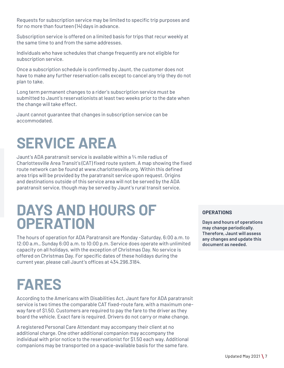Requests for subscription service may be limited to specific trip purposes and for no more than fourteen (14) days in advance.

Subscription service is offered on a limited basis for trips that recur weekly at the same time to and from the same addresses.

Individuals who have schedules that change frequently are not eligible for subscription service.

Once a subscription schedule is confirmed by Jaunt, the customer does not have to make any further reservation calls except to cancel any trip they do not plan to take.

Long term permanent changes to a rider's subscription service must be submitted to Jaunt's reservationists at least two weeks prior to the date when the change will take effect.

Jaunt cannot guarantee that changes in subscription service can be accommodated.

# **SERVICE AREA**

Jaunt's ADA paratransit service is available within a ¾ mile radius of Charlottesville Area Transit's (CAT) fixed route system. A map showing the fixed route network can be found at www.charlottesville.org. Within this defined area trips will be provided by the paratransit service upon request. Origins and destinations outside of this service area will not be served by the ADA paratransit service, though may be served by Jaunt's rural transit service.

# **DAYS AND HOURS OF OPERATION**

The hours of operation for ADA Paratransit are Monday -Saturday, 6:00 a.m. to 12:00 a.m., Sunday 6:00 a.m. to 10:00 p.m. Service does operate with unlimited capacity on all holidays, with the exception of Christmas Day. No service is offered on Christmas Day. For specific dates of these holidays during the current year, please call Jaunt's offices at 434.296.3184.

#### **OPERATIONS**

**Days and hours of operations may change periodically. Therefore, Jaunt will assess any changes and update this document as needed.**

# **FARES**

According to the Americans with Disabilities Act, Jaunt fare for ADA paratransit service is two times the comparable CAT fixed-route fare, with a maximum oneway fare of \$1.50. Customers are required to pay the fare to the driver as they board the vehicle. Exact fare is required. Drivers do not carry or make change.

A registered Personal Care Attendant may accompany their client at no additional charge. One other additional companion may accompany the individual with prior notice to the reservationist for \$1.50 each way. Additional companions may be transported on a space-available basis for the same fare.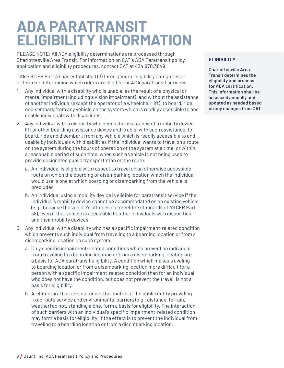# **ADA PARATRANSIT ELIGIBILITY INFORMATION**

PLEASE NOTE: All ADA eligibility determinations are processed through Charlottesville Area Transit. For information on CAT's ADA Paratransit policy, application and eligibility procedures, contact CAT at 434.970.3849.

Title 49 CFR Part 37 has established (3) three general eligibility categories or criteria for determining which riders are eligible for ADA paratransit services.

- 1. Any individual with a disability who is unable, as the result of a physical or mental impairment (including a vision impairment), and without the assistance of another individual (except the operator of a wheelchair lift), to board, ride, or disembark from any vehicle on the system which is readily accessible to and usable individuals with disabilities.
- 2. Any individual with a disability who needs the assistance of a mobility device lift or other boarding assistance device and is able, with such assistance, to board, ride and disembark from any vehicle which is readily accessible to and usable by individuals with disabilities if the individual wants to travel on a route on the system during the hours of operation of the system at a time, or within a reasonable period of such time, when such a vehicle is not being used to provide designated public transportation on the route.
	- a. An individual is eligible with respect to travel on an otherwise accessible route on which the boarding or disembarking location which the individual would use is one at which boarding or disembarking from the vehicle is precluded
	- b. An individual using a mobility device is eligible for paratransit service if the individual's mobility device cannot be accommodated on an existing vehicle (e.g., because the vehicle's lift does not meet the standards of 49 CFR Part 38), even if that vehicle is accessible to other individuals with disabilities and their mobility devices.
- 3. Any individual with a disability who has a specific impairment-related condition which prevents such individual from traveling to a boarding location or from a disembarking location on such system.
	- a. Only specific impairment-related conditions which prevent an individual from traveling to a boarding location or from a disembarking location are a basis for ADA paratransit eligibility. A condition which makes traveling to boarding location or from a disembarking location more difficult for a person with a specific impairment-related condition than for an individual who does not have the condition, but does not prevent the travel, is not a basis for eligibility.
	- b. Architectural barriers not under the control of the public entity providing fixed route service and environmental barriers (e.g., distance, terrain, weather) do not, standing alone, form a basis for eligibility. The interaction of such barriers with an individual's specific impairment-related condition may form a basis for eligibility, if the effect is to prevent the individual from traveling to a boarding location or from a disembarking location.

#### **ELIGIBILITY**

**Charlottesville Area Transit determines the eligibility and process for ADA certification. This information shall be assessed annually and updated as needed based on any changes from CAT.**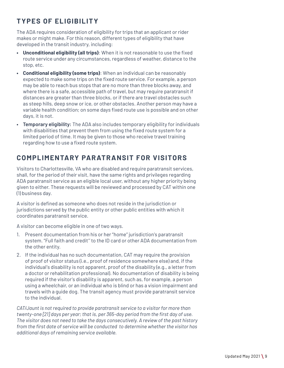### **TYPES OF ELIGIBILITY**

The ADA requires consideration of eligibility for trips that an applicant or rider makes or might make. For this reason, different types of eligibility that have developed in the transit industry, including:

- **• Unconditional eligibility (all trips)**: When it is not reasonable to use the fixed route service under any circumstances, regardless of weather, distance to the stop, etc.
- **• Conditional eligibility (some trips)**: When an individual can be reasonably expected to make some trips on the fixed route service. For example, a person may be able to reach bus stops that are no more than three blocks away, and where there is a safe, accessible path of travel, but may require paratransit if distances are greater than three blocks, or if there are travel obstacles such as steep hills, deep snow or ice, or other obstacles. Another person may have a variable health condition; on some days fixed route use is possible and on other days, it is not.
- **• Temporary eligibility:** The ADA also includes temporary eligibility for individuals with disabilities that prevent them from using the fixed route system for a limited period of time. It may be given to those who receive travel training regarding how to use a fixed route system.

#### **COMPLIMENTARY PARATRANSIT FOR VISITORS**

Visitors to Charlottesville, VA who are disabled and require paratransit services, shall, for the period of their visit, have the same rights and privileges regarding ADA paratransit service as an eligible local user, without any higher priority being given to either. These requests will be reviewed and processed by CAT within one (1) business day.

A visitor is defined as someone who does not reside in the jurisdiction or jurisdictions served by the public entity or other public entities with which it coordinates paratransit service.

A visitor can become eligible in one of two ways.

- 1. Present documentation from his or her "home" jurisdiction's paratransit system. "Full faith and credit'' to the ID card or other ADA documentation from the other entity.
- 2. If the individual has no such documentation, CAT may require the provision of proof of visitor status (i.e., proof of residence somewhere else) and, if the individual's disability is not apparent, proof of the disability (e.g., a letter from a doctor or rehabilitation professional). No documentation of disability is being required if the visitor's disability is apparent, such as, for example, a person using a wheelchair, or an individual who is blind or has a vision impairment and travels with a guide dog. The transit agency must provide paratransit service to the individual.

*CAT/Jaunt is not required to provide paratransit service to a visitor for more than twenty-one [21] days per year; that is, per 365-day period from the first day of use. The visitor does not need to take the days consecutively. A review of the past history from the first date of service will be conducted to determine whether the visitor has additional days of remaining service available.*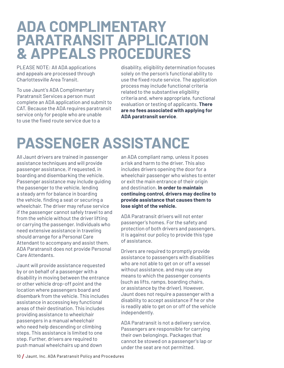## **ADA COMPLIMENTARY PARATRANSIT APPLICATION & APPEALS PROCEDURES**

PLEASE NOTE: All ADA applications and appeals are processed through Charlottesville Area Transit.

To use Jaunt's ADA Complimentary Paratransit Services a person must complete an ADA application and submit to CAT. Because the ADA requires paratransit service only for people who are unable to use the fixed route service due to a

disability, eligibility determination focuses solely on the person's functional ability to use the fixed route service. The application process may include functional criteria related to the substantive eligibility criteria and, where appropriate, functional evaluation or testing of applicants. **There are no fees associated with applying for ADA paratransit service**.

# **PASSENGER ASSISTANCE**

All Jaunt drivers are trained in passenger assistance techniques and will provide passenger assistance, if requested, in boarding and disembarking the vehicle. Passenger assistance may include guiding the passenger to the vehicle, lending a steady arm for balance in boarding the vehicle, finding a seat or securing a wheelchair. The driver may refuse service if the passenger cannot safely travel to and from the vehicle without the driver lifting or carrying the passenger. Individuals who need extensive assistance in traveling should arrange for a Personal Care Attendant to accompany and assist them. ADA Paratransit does not provide Personal Care Attendants.

Jaunt will provide assistance requested by or on behalf of a passenger with a disability in moving between the entrance or other vehicle drop-off point and the location where passengers board and disembark from the vehicle. This includes assistance in accessing key functional areas of their destination. This includes providing assistance to wheelchair passengers in a manual wheelchair who need help descending or climbing steps. This assistance is limited to one step. Further, drivers are required to push manual wheelchairs up and down

an ADA compliant ramp, unless it poses a risk and harm to the driver. This also includes drivers opening the door for a wheelchair passenger who wishes to enter or exit the main entrance of their origin and destination. **In order to maintain continuing control, drivers may decline to provide assistance that causes them to lose sight of the vehicle.**

ADA Paratransit drivers will not enter passenger's homes. For the safety and protection of both drivers and passengers, it is against our policy to provide this type of assistance.

Drivers are required to promptly provide assistance to passengers with disabilities who are not able to get on or off a vessel without assistance, and may use any means to which the passenger consents (such as lifts, ramps, boarding chairs, or assistance by the driver). However, Jaunt does not require a passenger with a disability to accept assistance if he or she is readily able to get on or off of the vehicle independently.

ADA Paratransit is not a delivery service. Passengers are responsible for carrying their own belongings. Packages that cannot be stowed on a passenger's lap or under the seat are not permitted.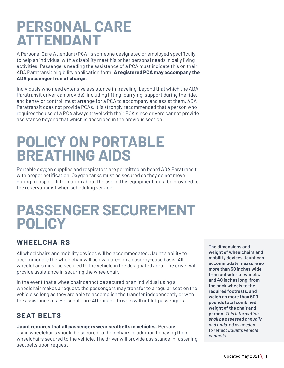# **PERSONAL CARE ATTENDANT**

A Personal Care Attendant (PCA) is someone designated or employed specifically to help an individual with a disability meet his or her personal needs in daily living activities. Passengers needing the assistance of a PCA must indicate this on their ADA Paratransit eligibility application form. **A registered PCA may accompany the ADA passenger free of charge.** 

Individuals who need extensive assistance in traveling (beyond that which the ADA Paratransit driver can provide), including lifting, carrying, support during the ride, and behavior control, must arrange for a PCA to accompany and assist them. ADA Paratransit does not provide PCAs. It is strongly recommended that a person who requires the use of a PCA always travel with their PCA since drivers cannot provide assistance beyond that which is described in the previous section.

## **POLICY ON PORTABLE BREATHING AIDS**

Portable oxygen supplies and respirators are permitted on board ADA Paratransit with proper notification. Oxygen tanks must be secured so they do not move during transport. Information about the use of this equipment must be provided to the reservationist when scheduling service.

## **PASSENGER SECUREMENT POLICY**

#### **W H EELCH A IR S**

All wheelchairs and mobility devices will be accommodated. Jaunt's ability to accommodate the wheelchair will be evaluated on a case-by-case basis. All wheelchairs must be secured to the vehicle in the designated area. The driver will provide assistance in securing the wheelchair.

In the event that a wheelchair cannot be secured or an individual using a wheelchair makes a request, the passengers may transfer to a regular seat on the vehicle so long as they are able to accomplish the transfer independently or with the assistance of a Personal Care Attendant. Drivers will not lift passengers.

### **SEAT BELTS**

**Jaunt requires that all passengers wear seatbelts in vehicles.** Persons using wheelchairs should be secured to their chairs in addition to having their wheelchairs secured to the vehicle. The driver will provide assistance in fastening seatbelts upon request.

**The dimensions and weight of wheelchairs and mobility devices Jaunt can accommodate measure no more than 30 inches wide, from outsides of wheels, and 40 inches long, from the back wheels to the required footrests, and weigh no more than 600 pounds total combined weight of the chair and person.** *This information shall be assessed annually and updated as needed to reflect Jaunt's vehicle capacity.*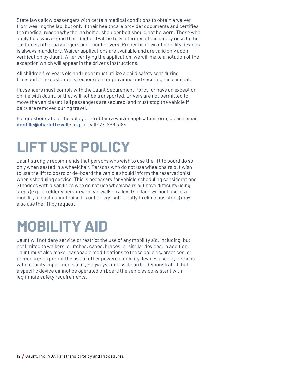State laws allow passengers with certain medical conditions to obtain a waiver from wearing the lap, but only if their healthcare provider documents and certifies the medical reason why the lap belt or shoulder belt should not be worn. Those who apply for a waiver (and their doctors) will be fully informed of the safety risks to the customer, other passengers and Jaunt drivers. Proper tie down of mobility devices is always mandatory. Waiver applications are available and are valid only upon verification by Jaunt. After verifying the application, we will make a notation of the exception which will appear in the driver's instructions.

All children five years old and under must utilize a child safety seat during transport. The customer is responsible for providing and securing the car seat.

Passengers must comply with the Jaunt Securement Policy, or have an exception on file with Jaunt, or they will not be transported. Drivers are not permitted to move the vehicle until all passengers are secured, and must stop the vehicle if belts are removed during travel.

For questions about the policy or to obtain a waiver application form, please email **dordille@charlottesville.org**, or call 434.296.3184.

# **LIFT USE POLICY**

Jaunt strongly recommends that persons who wish to use the lift to board do so only when seated in a wheelchair. Persons who do not use wheelchairs but wish to use the lift to board or de-board the vehicle should inform the reservationist when scheduling service. This is necessary for vehicle scheduling considerations. Standees with disabilities who do not use wheelchairs but have difficulty using steps (e.g., an elderly person who can walk on a level surface without use of a mobility aid but cannot raise his or her legs sufficiently to climb bus steps) may also use the lift by request.

# **MOBILITY AID**

Jaunt will not deny service or restrict the use of any mobility aid, including, but not limited to walkers, crutches, canes, braces, or similar devices. In addition, Jaunt must also make reasonable modifications to these policies, practices, or procedures to permit the use of other powered mobility devices used by persons with mobility impairments (e.g., Segways), unless it can be demonstrated that a specific device cannot be operated on board the vehicles consistent with legitimate safety requirements.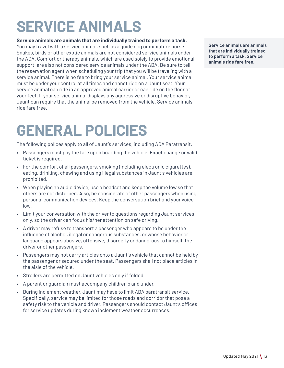# **SERVICE ANIMALS**

#### **Service animals are animals that are individually trained to perform a task.**

You may travel with a service animal, such as a guide dog or miniature horse. Snakes, birds or other exotic animals are not considered service animals under the ADA. Comfort or therapy animals, which are used solely to provide emotional support, are also not considered service animals under the ADA. Be sure to tell the reservation agent when scheduling your trip that you will be traveling with a service animal. There is no fee to bring your service animal. Your service animal must be under your control at all times and cannot ride on a Jaunt seat. Your service animal can ride in an approved animal carrier or can ride on the floor at your feet. If your service animal displays any aggressive or disruptive behavior, Jaunt can require that the animal be removed from the vehicle. Service animals ride fare free.

# **GENERAL POLICIES**

The following polices apply to all of Jaunt's services, including ADA Paratransit.

- Passengers must pay the fare upon boarding the vehicle. Exact change or valid ticket is required.
- For the comfort of all passengers, smoking (including electronic cigarettes), eating, drinking, chewing and using illegal substances in Jaunt's vehicles are prohibited.
- When playing an audio device, use a headset and keep the volume low so that others are not disturbed. Also, be considerate of other passengers when using personal communication devices. Keep the conversation brief and your voice low.
- Limit your conversation with the driver to questions regarding Jaunt services only, so the driver can focus his/her attention on safe driving.
- A driver may refuse to transport a passenger who appears to be under the influence of alcohol, illegal or dangerous substances, or whose behavior or language appears abusive, offensive, disorderly or dangerous to himself, the driver or other passengers.
- Passengers may not carry articles onto a Jaunt's vehicle that cannot be held by the passenger or secured under the seat. Passengers shall not place articles in the aisle of the vehicle.
- Strollers are permitted on Jaunt vehicles only if folded.
- A parent or guardian must accompany children 5 and under.
- During inclement weather, Jaunt may have to limit ADA paratransit service. Specifically, service may be limited for those roads and corridor that pose a safety risk to the vehicle and driver. Passengers should contact Jaunt's offices for service updates during known inclement weather occurrences.

**Service animals are animals that are individually trained to perform a task. Service animals ride fare free.**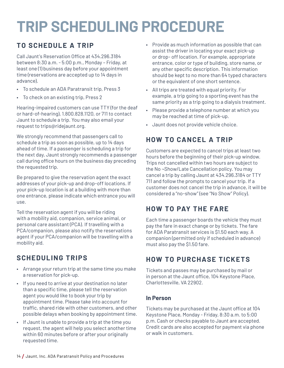# **TRIP SCHEDULING PROCEDURE**

### **TO SCHEDULE A TRIP**

Call Jaunt's Reservation Office at 434.296.3184 between 8:30 a.m. - 5:00 p.m., Monday – Friday, at least one (1) business day before your appointment time (reservations are accepted up to 14 days in advance).

- To schedule an ADA Paratransit trip, Press 3
- To check on an existing trip, Press 2

Hearing-impaired customers can use TTY (for the deaf or hard-of-hearing), 1.800.828.1120, or 711 to contact Jaunt to schedule a trip. You may also email your request to trips@ridejaunt.org.

We strongly recommend that passengers call to schedule a trip as soon as possible, up to 14 days ahead of time. If a passenger is scheduling a trip for the next day, Jaunt strongly recommends a passenger call during office hours on the business day preceding the requested trip.

Be prepared to give the reservation agent the exact addresses of your pick-up and drop-off locations. If your pick-up location is at a building with more than one entrance, please indicate which entrance you will use.

Tell the reservation agent if you will be riding with a mobility aid, companion, service animal, or personal care assistant (PCA). If travelling with a PCA/companion, please also notify the reservations agent if your PCA/companion will be travelling with a mobility aid.

### **SCHEDULING TRIPS**

- Arrange your return trip at the same time you make a reservation for pick-up.
- If you need to arrive at your destination no later than a specific time, please tell the reservation agent you would like to book your trip by appointment time. Please take into account for traffic, shared ride with other customers, and other possible delays when booking by appointment time.
- If Jaunt is unable to provide a trip at the time you request, the agent will help you select another time within 60 minutes before or after your originally requested time.
- Provide as much information as possible that can assist the driver in locating your exact pick-up or drop- off location. For example, appropriate entrance, color or type of building, store name, or any other specific description. This information should be kept to no more than 64 typed characters or the equivalent of one short sentence.
- All trips are treated with equal priority. For example, a trip going to a sporting event has the same priority as a trip going to a dialysis treatment.
- Please provide a telephone number at which you may be reached at time of pick-up.
- Jaunt does not provide vehicle choice.

### **HOW TO CANCEL A TRIP**

Customers are expected to cancel trips at least two hours before the beginning of their pick-up window. Trips not cancelled within two hours are subject to the No ¬Show/Late Cancellation policy. You may cancel a trip by calling Jaunt at 434.296.3184 or TTY 711 and follow the prompts to cancel your trip. If a customer does not cancel the trip in advance, it will be considered a "no-show" (see "No Show" Policy).

### **HOW TO PAY THE FARE**

Each time a passenger boards the vehicle they must pay the fare in exact change or by tickets. The fare for ADA Paratransit services is \$1.50 each way. A companion (permitted only if scheduled in advance) must also pay the \$1.50 fare.

#### **HOW TO PURCHASE TICKETS**

Tickets and passes may be purchased by mail or in person at the Jaunt office, 104 Keystone Place, Charlottesville, VA 22902.

#### **In Person**

Tickets may be purchased at the Jaunt office at 104 Keystone Place, Monday - Friday, 8:30 a.m. to 5:00 p.m. Cash or checks payable to Jaunt are accepted. Credit cards are also accepted for payment via phone or walk in customers.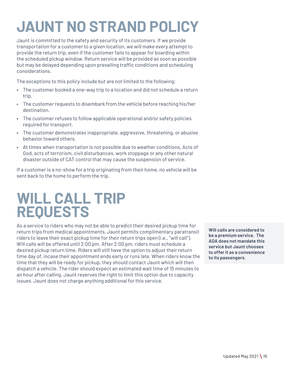# **JAUNT NO STRAND POLICY**

Jaunt is committed to the safety and security of its customers. If we provide transportation for a customer to a given location, we will make every attempt to provide the return trip, even if the customer fails to appear for boarding within the scheduled pickup window. Return service will be provided as soon as possible but may be delayed depending upon prevailing traffic conditions and scheduling considerations.

The exceptions to this policy include but are not limited to the following:

- The customer booked a one-way trip to a location and did not schedule a return trip.
- The customer requests to disembark from the vehicle before reaching his/her destination.
- The customer refuses to follow applicable operational and/or safety policies required for transport.
- The customer demonstrates inappropriate, aggressive, threatening, or abusive behavior toward others.
- At times when transportation is not possible due to weather conditions, Acts of God, acts of terrorism, civil disturbances, work stoppage or any other natural disaster outside of CAT control that may cause the suspension of service.

If a customer is a no-show for a trip originating from their home, no vehicle will be sent back to the home to perform the trip.

## **WILL CALL TRIP REQUESTS**

As a service to riders who may not be able to predict their desired pickup time for return trips from medical appointments, Jaunt permits complimentary paratransit riders to leave their exact pickup time for their return trips open (i.e., "will call"). Will calls will be offered until 2:00 pm. After 2:00 pm, riders must schedule a desired pickup return time. Riders will still have the option to adjust their return time day of, incase their appointment ends early or runs late. When riders know the time that they will be ready for pickup, they should contact Jaunt which will then dispatch a vehicle. The rider should expect an estimated wait time of 15 minutes to an hour after calling. Jaunt reserves the right to limit this option due to capacity issues. Jaunt does not charge anything additional for this service.

**Will calls are considered to be a premium service. The ADA does not mandate this service but Jaunt chooses to offer it as a convenience to its passengers.**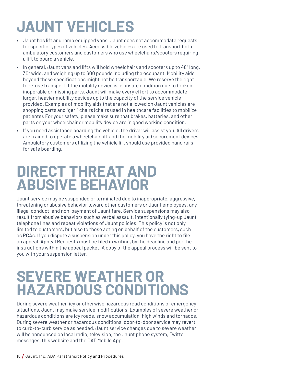# **JAUNT VEHICLES**

- Jaunt has lift and ramp equipped vans. Jaunt does not accommodate requests for specific types of vehicles. Accessible vehicles are used to transport both ambulatory customers and customers who use wheelchairs/scooters requiring a lift to board a vehicle.
- In general, Jaunt vans and lifts will hold wheelchairs and scooters up to 48" long, 30" wide, and weighing up to 600 pounds including the occupant. Mobility aids beyond these specifications might not be transportable. We reserve the right to refuse transport if the mobility device is in unsafe condition due to broken, inoperable or missing parts. Jaunt will make every effort to accommodate larger, heavier mobility devices up to the capacity of the service vehicle provided. Examples of mobility aids that are not allowed on Jaunt vehicles are shopping carts and "geri" chairs (chairs used in healthcare facilities to mobilize patients). For your safety, please make sure that brakes, batteries, and other parts on your wheelchair or mobility device are in good working condition.
- If you need assistance boarding the vehicle, the driver will assist you. All drivers are trained to operate a wheelchair lift and the mobility aid securement devices. Ambulatory customers utilizing the vehicle lift should use provided hand rails for safe boarding.

# **DIRECT THREAT AND ABUSIVE BEHAVIOR**

Jaunt service may be suspended or terminated due to inappropriate, aggressive, threatening or abusive behavior toward other customers or Jaunt employees, any illegal conduct, and non-payment of Jaunt fare. Service suspensions may also result from abusive behaviors such as verbal assault, intentionally tying-up Jaunt telephone lines and repeat violations of Jaunt policies. This policy is not only limited to customers, but also to those acting on behalf of the customers, such as PCAs. If you dispute a suspension under this policy, you have the right to file an appeal. Appeal Requests must be filed in writing, by the deadline and per the instructions within the appeal packet. A copy of the appeal process will be sent to you with your suspension letter.

# **SEVERE WEATHER OR HAZARDOUS CONDITIONS**

During severe weather, icy or otherwise hazardous road conditions or emergency situations, Jaunt may make service modifications. Examples of severe weather or hazardous conditions are icy roads, snow accumulation, high winds and tornados. During severe weather or hazardous conditions, door-to-door service may revert to curb-to-curb service as needed. Jaunt service changes due to severe weather will be announced on local radio, television, the Jaunt phone system, Twitter messages, this website and the CAT Mobile App.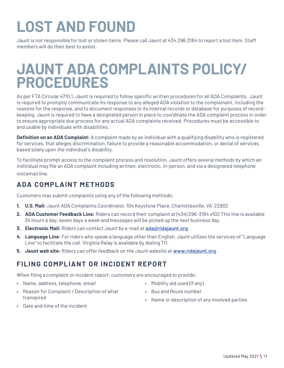# **LOST AND FOUND**

Jaunt is not responsible for lost or stolen items. Please call Jaunt at 434.296.3184 to report a lost item. Staff members will do their best to assist.

## **JAUNT ADA COMPLAINTS POLICY/ PROCEDURES**

As per FTA Circular 4710.1, Jaunt is required to follow specific written procedures for all ADA Complaints. Jaunt is required to promptly communicate its response to any alleged ADA violation to the complainant, including the reasons for the response, and to document responses in its internal records or database for purposes of recordkeeping. Jaunt is required to have a designated person in place to coordinate the ADA complaint process in order to ensure appropriate due process for any actual ADA complaints received. Procedures must be accessible to and usable by individuals with disabilities.

**Definition on an ADA Complaint:** A complaint made by an individual with a qualifying disability who is registered for services, that alleges discrimination, failure to provide a reasonable accommodation, or denial of services based solely upon the individual's disability.

To facilitate prompt access to the complaint process and resolution, Jaunt offers several methods by which an individual may file an ADA complaint including written, electronic, in-person, and via a designated telephone voicemail line.

#### **ADA COMPLAINT METHODS**

Customers may submit complaints using any of the following methods:

- **1. U.S. Mail:** Jaunt ADA Complaints Coordinator, 104 Keystone Place, Charlottesville, VA 22902
- **2. ADA Customer Feedback Line:** Riders can record their complaint at (434) 296-3184 x102 This line is available 24 hours a day, seven days a week and messages will be picked up the next business day.
- **3. Electronic Mail:** Riders can contact Jaunt by e-mail at **ada@ridejaunt.org**
- **4. Language Line:** For riders who speak a language other than English, Jaunt utilizes the services of "Language Line" to facilitate the call. Virginia Relay is available by dialing 711.
- **5. Jaunt web site:** Riders can offer feedback on the Jaunt website at **www.ridejaunt.org**.

#### **FILING COMPLIANT OR INCIDENT REPORT**

When filing a complaint or incident report, customers are encouraged to provide:

• Name, address, telephone, email

• Date and time of the incident

- Reason for Complaint / Description of what transpired
- Mobility aid used (if any)
- Bus and Route number
- Name or description of any involved parties
-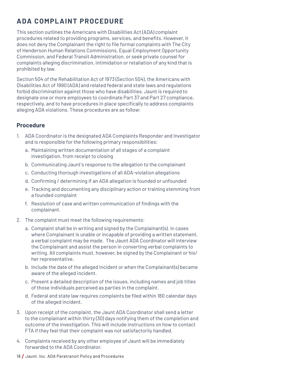### **ADA COMPLAINT PROCEDURE**

This section outlines the Americans with Disabilities Act (ADA) complaint procedures related to providing programs, services, and benefits. However, it does not deny the Complainant the right to file formal complaints with The City of Henderson Human Relations Commissions, Equal Employment Opportunity Commission, and Federal Transit Administration, or seek private counsel for complaints alleging discrimination, intimidation or retaliation of any kind that is prohibited by law.

Section 504 of the Rehabilitation Act of 1973 (Section 504), the Americans with Disabilities Act of 1990 (ADA) and related federal and state laws and regulations forbid discrimination against those who have disabilities. Jaunt is required to designate one or more employees to coordinate Part 37 and Part 27 compliance, respectively, and to have procedures in place specifically to address complaints alleging ADA violations. These procedures are as follow:

#### **Procedure**

- 1. ADA Coordinator is the designated ADA Complaints Responder and Investigator and is responsible for the following primary responsibilities:
	- a. Maintaining written documentation of all stages of a complaint investigation, from receipt to closing
	- b. Communicating Jaunt's response to the allegation to the complainant
	- c. Conducting thorough investigations of all ADA-violation allegations
	- d. Confirming / determining if an ADA allegation is founded or unfounded
	- e. Tracking and documenting any disciplinary action or training stemming from a founded complaint
	- f. Resolution of case and written communication of findings with the complainant.
- 2. The complaint must meet the following requirements:
	- a. Complaint shall be in writing and signed by the Complainant(s). In cases where Complainant is unable or incapable of providing a written statement, a verbal complaint may be made. The Jaunt ADA Coordinator will interview the Complainant and assist the person in converting verbal complaints to writing. All complaints must, however, be signed by the Complainant or his/ her representative.
	- b. Include the date of the alleged incident or when the Complainant(s) became aware of the alleged incident.
	- c. Present a detailed description of the issues, including names and job titles of those individuals perceived as parties in the complaint.
	- d. Federal and state law requires complaints be filed within 180 calendar days of the alleged incident.
- 3. Upon receipt of the complaint, the Jaunt ADA Coordinator shall send a letter to the complainant within thirty (30) days notifying them of the completion and outcome of the investigation. This will include instructions on how to contact FTA if they feel that their complaint was not satisfactorily handled.
- 4. Complaints received by any other employee of Jaunt will be immediately forwarded to the ADA Coordinator.
- 18 / Jaunt, Inc. ADA Paratransit Policy and Procedures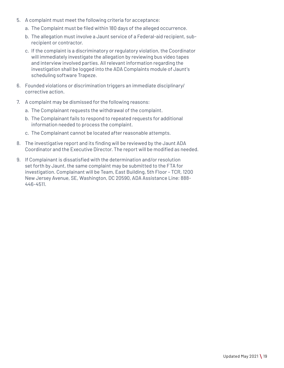- 5. A complaint must meet the following criteria for acceptance:
	- a. The Complaint must be filed within 180 days of the alleged occurrence.
	- b. The allegation must involve a Jaunt service of a Federal-aid recipient, subrecipient or contractor.
	- c. If the complaint is a discriminatory or regulatory violation, the Coordinator will immediately investigate the allegation by reviewing bus video tapes and interview involved parties. All relevant information regarding the investigation shall be logged into the ADA Complaints module of Jaunt's scheduling software Trapeze.
- 6. Founded violations or discrimination triggers an immediate disciplinary/ corrective action.
- 7. A complaint may be dismissed for the following reasons:
	- a. The Complainant requests the withdrawal of the complaint.
	- b. The Complainant fails to respond to repeated requests for additional information needed to process the complaint.
	- c. The Complainant cannot be located after reasonable attempts.
- 8. The investigative report and its finding will be reviewed by the Jaunt ADA Coordinator and the Executive Director. The report will be modified as needed.
- 9. If Complainant is dissatisfied with the determination and/or resolution set forth by Jaunt, the same complaint may be submitted to the FTA for investigation. Complainant will be Team, East Building, 5th Floor – TCR, 1200 New Jersey Avenue, SE, Washington, DC 20590, ADA Assistance Line: 888- 446-4511.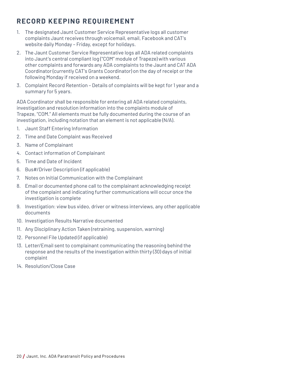### **RECORD KEEPING REQUIREMENT**

- 1. The designated Jaunt Customer Service Representative logs all customer complaints Jaunt receives through voicemail, email, Facebook and CAT's website daily Monday – Friday, except for holidays.
- 2. The Jaunt Customer Service Representative logs all ADA related complaints into Jaunt's central compliant log ("COM" module of Trapeze) with various other complaints and forwards any ADA complaints to the Jaunt and CAT ADA Coordinator (currently CAT's Grants Coordinator) on the day of receipt or the following Monday if received on a weekend.
- 3. Complaint Record Retention Details of complaints will be kept for 1 year and a summary for 5 years.

ADA Coordinator shall be responsible for entering all ADA related complaints, investigation and resolution information into the complaints module of Trapeze, "COM." All elements must be fully documented during the course of an investigation, including notation that an element is not applicable (N/A).

- 1. Jaunt Staff Entering Information
- 2. Time and Date Complaint was Received
- 3. Name of Complainant
- 4. Contact information of Complainant
- 5. Time and Date of Incident
- 6. Bus#/Driver Description (if applicable)
- 7. Notes on Initial Communication with the Complainant
- 8. Email or documented phone call to the complainant acknowledging receipt of the complaint and indicating further communications will occur once the investigation is complete
- 9. Investigation: view bus video, driver or witness interviews, any other applicable documents
- 10. Investigation Results Narrative documented
- 11. Any Disciplinary Action Taken (retraining, suspension, warning)
- 12. Personnel File Updated (if applicable)
- 13. Letter/Email sent to complainant communicating the reasoning behind the response and the results of the investigation within thirty (30) days of initial complaint
- 14. Resolution/Close Case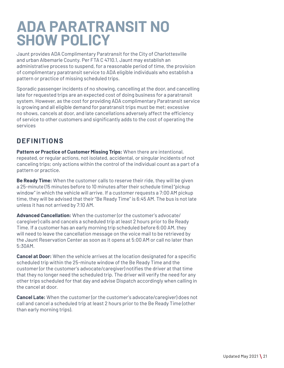# **ADA PARATRANSIT NO SHOW POLICY**

Jaunt provides ADA Complimentary Paratransit for the City of Charlottesville and urban Albemarle County. Per FTA C 4710.1, Jaunt may establish an administrative process to suspend, for a reasonable period of time, the provision of complimentary paratransit service to ADA eligible individuals who establish a pattern or practice of missing scheduled trips.

Sporadic passenger incidents of no showing, cancelling at the door, and cancelling late for requested trips are an expected cost of doing business for a paratransit system. However, as the cost for providing ADA complimentary Paratransit service is growing and all eligible demand for paratransit trips must be met; excessive no shows, cancels at door, and late cancellations adversely affect the efficiency of service to other customers and significantly adds to the cost of operating the services

#### **DEFINITIONS**

**Pattern or Practice of Customer Missing Trips:** When there are intentional, repeated, or regular actions, not isolated, accidental, or singular incidents of not canceling trips; only actions within the control of the individual count as a part of a pattern or practice.

**Be Ready Time:** When the customer calls to reserve their ride, they will be given a 25-minute (15 minutes before to 10 minutes after their schedule time) "pickup window" in which the vehicle will arrive. If a customer requests a 7:00 AM pickup time, they will be advised that their "Be Ready Time" is 6:45 AM. The bus is not late unless it has not arrived by 7:10 AM.

**Advanced Cancellation:** When the customer (or the customer's advocate/ caregiver) calls and cancels a scheduled trip at least 2 hours prior to Be Ready Time. If a customer has an early morning trip scheduled before 6:00 AM, they will need to leave the cancellation message on the voice mail to be retrieved by the Jaunt Reservation Center as soon as it opens at 5:00 AM or call no later than 5:30AM.

**Cancel at Door:** When the vehicle arrives at the location designated for a specific scheduled trip within the 25-minute window of the Be Ready Time and the customer (or the customer's advocate/caregiver) notifies the driver at that time that they no longer need the scheduled trip. The driver will verify the need for any other trips scheduled for that day and advise Dispatch accordingly when calling in the cancel at door.

**Cancel Late:** When the customer (or the customer's advocate/caregiver) does not call and cancel a scheduled trip at least 2 hours prior to the Be Ready Time (other than early morning trips).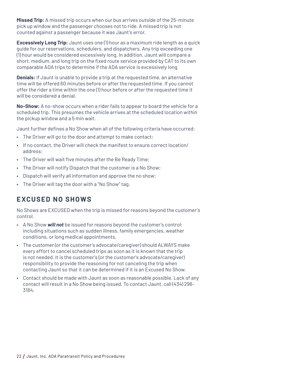**Missed Trip:** A missed trip occurs when our bus arrives outside of the 25-minute pick up window and the passenger chooses not to ride. A missed trip is not counted against a passenger because it was Jaunt's error.

**Excessively Long Trip:** Jaunt uses one (1) hour as a maximum ride length as a quick guide for our reservations, schedulers, and dispatchers. Any trip exceeding one (1) hour would be considered excessively long. In addition, Jaunt will compare a short, medium, and long trip on the fixed route service provided by CAT to its own comparable ADA trips to determine if the ADA service is excessively long

**Denials:** If Jaunt is unable to provide a trip at the requested time, an alternative time will be offered 60 minutes before or after the requested time. If you cannot offer the rider a time within the one (1) hour before or after the requested time it will be considered a denial.

**No-Show:** A no-show occurs when a rider fails to appear to board the vehicle for a scheduled trip. This presumes the vehicle arrives at the scheduled location within the pickup window and a 5 min wait.

Jaunt further defines a No Show when all of the following criteria have occurred:

- The Driver will go to the door and attempt to make contact;
- If no contact, the Driver will check the manifest to ensure correct location/ address;
- The Driver will wait five minutes after the Be Ready Time;
- The Driver will notify Dispatch that the customer is a No Show;
- Dispatch will verify all information and approve the no show;
- The Driver will tag the door with a "No Show" tag.

#### **EXCUSED NO SHOWS**

No Shows are EXCUSED when the trip is missed for reasons beyond the customer's control.

- A No Show *will not* be issued for reasons beyond the customer's control; including situations such as sudden illness, family emergencies, weather conditions, or long medical appointments.
- The customer (or the customer's advocate/caregiver) should ALWAYS make every effort to cancel scheduled trips as soon as it is known that the trip is not needed. It is the customer's (or the customer's advocate/caregiver) responsibility to provide the reasoning for not canceling the trip when contacting Jaunt so that it can be determined if it is an Excused No Show.
- Contact should be made with Jaunt as soon as reasonable possible. Lack of any contact will result in a No Show being issued. To contact Jaunt, call (434) 296- 3184.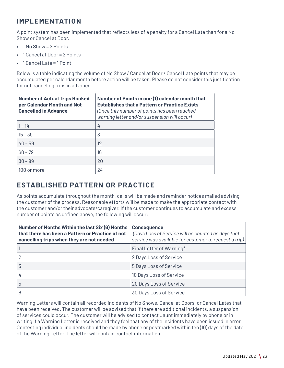#### **IMPLEMENTATION**

A point system has been implemented that reflects less of a penalty for a Cancel Late than for a No Show or Cancel at Door.

- 1 No Show = 2 Points
- 1 Cancel at Door = 2 Points
- $\cdot$  1 Cancel Late = 1 Point

Below is a table indicating the volume of No Show / Cancel at Door / Cancel Late points that may be accumulated per calendar month before action will be taken. Please do not consider this justification for not canceling trips in advance.

| <b>Number of Actual Trips Booked</b><br>per Calendar Month and Not<br><b>Cancelled in Advance</b> | Number of Points in one (1) calendar month that<br><b>Establishes that a Pattern or Practice Exists</b><br>(Once this number of points has been reached,<br>warning letter and/or suspension will occur) |
|---------------------------------------------------------------------------------------------------|----------------------------------------------------------------------------------------------------------------------------------------------------------------------------------------------------------|
| $1 - 14$                                                                                          | 4                                                                                                                                                                                                        |
| $15 - 39$                                                                                         | 8                                                                                                                                                                                                        |
| $40 - 59$                                                                                         | 12                                                                                                                                                                                                       |
| $60 - 79$                                                                                         | 16                                                                                                                                                                                                       |
| $80 - 99$                                                                                         | 20                                                                                                                                                                                                       |
| 100 or more                                                                                       | 24                                                                                                                                                                                                       |

#### **ESTABLISHED PATTERN OR PRACTICE**

As points accumulate throughout the month, calls will be made and reminder notices mailed advising the customer of the process. Reasonable efforts will be made to make the appropriate contact with the customer and/or their advocate/caregiver. If the customer continues to accumulate and excess number of points as defined above, the following will occur:

| <b>Number of Months Within the last Six (6) Months</b><br>that there has been a Pattern or Practice of not<br>cancelling trips when they are not needed | <b>Consequence</b><br>(Days Loss of Service will be counted as days that<br>service was available for customer to request a trip) |
|---------------------------------------------------------------------------------------------------------------------------------------------------------|-----------------------------------------------------------------------------------------------------------------------------------|
|                                                                                                                                                         | Final Letter of Warning*                                                                                                          |
|                                                                                                                                                         | 2 Days Loss of Service                                                                                                            |
|                                                                                                                                                         | 5 Days Loss of Service                                                                                                            |
|                                                                                                                                                         | 10 Days Loss of Service                                                                                                           |
| 5                                                                                                                                                       | 20 Days Loss of Service                                                                                                           |
| 6                                                                                                                                                       | 30 Days Loss of Service                                                                                                           |

Warning Letters will contain all recorded incidents of No Shows, Cancel at Doors, or Cancel Lates that have been received. The customer will be advised that if there are additional incidents, a suspension of services could occur. The customer will be advised to contact Jaunt immediately by phone or in writing if a Warning Letter is received and they feel that any of the incidents have been issued in error. Contesting individual incidents should be made by phone or postmarked within ten (10) days of the date of the Warning Letter. The letter will contain contact information.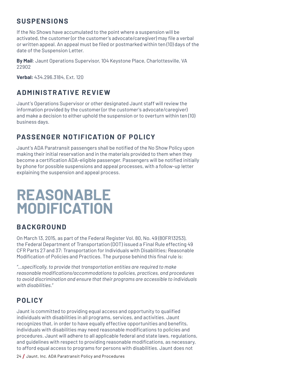#### **SUSPENSIONS**

If the No Shows have accumulated to the point where a suspension will be activated, the customer (or the customer's advocate/caregiver) may file a verbal or written appeal. An appeal must be filed or postmarked within ten (10) days of the date of the Suspension Letter.

**By Mail**: Jaunt Operations Supervisor, 104 Keystone Place, Charlottesville, VA 22902

**Verbal:** 434.296.3184, Ext. 120

### **ADMINISTRATIVE REVIEW**

Jaunt's Operations Supervisor or other designated Jaunt staff will review the information provided by the customer (or the customer's advocate/caregiver) and make a decision to either uphold the suspension or to overturn within ten (10) business days.

#### **PASSENGER NOTIFICATION OF POLICY**

Jaunt's ADA Paratransit passengers shall be notified of the No Show Policy upon making their initial reservation and in the materials provided to them when they become a certification ADA-eligible passenger. Passengers will be notified initially by phone for possible suspensions and appeal processes, with a follow-up letter explaining the suspension and appeal process.

# **REASONABLE MODIFICATION**

#### **BACKGROUND**

On March 13, 2015, as part of the Federal Register Vol. 80, No. 49 (80FR13253), the Federal Department of Transportation (DOT) issued a Final Rule effecting 49 CFR Parts 27 and 37: Transportation for Individuals with Disabilities; Reasonable Modification of Policies and Practices. The purpose behind this final rule is:

*"…specifically, to provide that transportation entities are required to make reasonable modifications/accommodations to policies, practices, and procedures to avoid discrimination and ensure that their programs are accessible to individuals with disabilities."*

### **POLICY**

Jaunt is committed to providing equal access and opportunity to qualified individuals with disabilities in all programs, services, and activities. Jaunt recognizes that, in order to have equally effective opportunities and benefits, individuals with disabilities may need reasonable modifications to policies and procedures. Jaunt will adhere to all applicable federal and state laws, regulations, and guidelines with respect to providing reasonable modifications, as necessary, to afford equal access to programs for persons with disabilities. Jaunt does not

<sup>24</sup>/ Jaunt, Inc. ADA Paratransit Policy and Procedures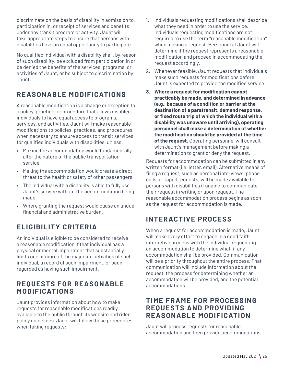discriminate on the basis of disability in admission to, participation in, or receipt of services and benefits under any transit program or activity. Jaunt will take appropriate steps to ensure that persons with disabilities have an equal opportunity to participate.

No qualified individual with a disability shall, by reason of such disability, be excluded from participation in or be denied the benefits of the services, programs, or activities of Jaunt, or be subject to discrimination by Jaunt.

### **REASONABLE MODIFICATIONS**

A reasonable modification is a change or exception to a policy, practice, or procedure that allows disabled individuals to have equal access to programs, services, and activities. Jaunt will make reasonable modifications to policies, practices, and procedures when necessary to ensure access to transit services for qualified individuals with disabilities, unless:

- Making the accommodation would fundamentally alter the nature of the public transportation service.
- Making the accommodation would create a direct threat to the health or safety of other passengers.
- The individual with a disability is able to fully use Jaunt's service without the accommodation being made.
- Where granting the request would cause an undue financial and administrative burden.

### **ELIGIBILITY CRITERIA**

An individual is eligible to be considered to receive a reasonable modification if that individual has a physical or mental impairment that substantially limits one or more of the major life activities of such individual, a record of such impairment, or been regarded as having such impairment.

#### **REQUESTS FOR REASONABLE MODIFICATIONS**

Jaunt provides information about how to make requests for reasonable modifications readily available to the public through its website and rider policy guidelines. Jaunt will follow these procedures when taking requests:

- 1. Individuals requesting modifications shall describe what they need in order to use the service. Individuals requesting modifications are not required to use the term "reasonable modification" when making a request. Personnel at Jaunt will determine if the request represents a reasonable modification and proceed in accommodating the request accordingly.
- 2. Whenever feasible, Jaunt requests that individuals make such requests for modifications before Jaunt is expected to provide the modified service.
- **3. Where a request for modification cannot practicably be made, and determined in advance, (e.g., because of a condition or barrier at the destination of a paratransit, demand response, or fixed route trip of which the individual with a disability was unaware until arriving), operating personnel shall make a determination of whether the modification should be provided at the time of the request.** Operating personnel will consult with Jaunt's management before making a determination to grant or deny the request.

Requests for accommodation can be submitted in any written format (i.e. letter, email). Alternative means of filing a request, such as personal interviews, phone calls, or taped requests, will be made available for persons with disabilities if unable to communicate their request in writing or upon request. The reasonable accommodation process begins as soon as the request for accommodation is made.

#### **INTERACTIVE PROCESS**

When a request for accommodation is made, Jaunt will make every effort to engage in a good faith interactive process with the individual requesting an accommodation to determine what, if any accommodation shall be provided. Communication will be a priority throughout the entire process. That communication will include information about the request, the process for determining whether an accommodation will be provided, and the potential accommodations.

#### **TIME FRAME FOR PROCESSING REQUESTS AND PROVIDING REASONABLE MODIFICATION**

Jaunt will process requests for reasonable accommodation and then provide accommodations,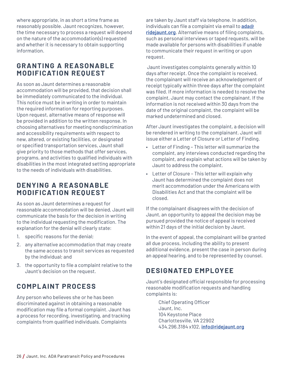where appropriate, in as short a time frame as reasonably possible. Jaunt recognizes, however, the time necessary to process a request will depend on the nature of the accommodation(s) requested and whether it is necessary to obtain supporting information.

#### **GRANTING A REASONABLE MODIFICATION REQUEST**

As soon as Jaunt determines a reasonable accommodation will be provided, that decision shall be immediately communicated to the individual. This notice must be in writing in order to maintain the required information for reporting purposes. Upon request, alternative means of response will be provided in addition to the written response. In choosing alternatives for meeting nondiscrimination and accessibility requirements with respect to new, altered, or existing facilities, or designated or specified transportation services, Jaunt shall give priority to those methods that offer services, programs, and activities to qualified individuals with disabilities in the most integrated setting appropriate to the needs of individuals with disabilities.

#### **DENYING A REASONABLE MODIFICATION REQUEST**

As soon as Jaunt determines a request for reasonable accommodation will be denied, Jaunt will communicate the basis for the decision in writing to the individual requesting the modification. The explanation for the denial will clearly state:

- 1. specific reasons for the denial;
- 2. any alternative accommodation that may create the same access to transit services as requested by the individual; and
- 3. the opportunity to file a complaint relative to the Jaunt's decision on the request.

### **COMPLAINT PROCESS**

Any person who believes she or he has been discriminated against in obtaining a reasonable modification may file a formal complaint. Jaunt has a process for recording, investigating, and tracking complaints from qualified individuals. Complaints

are taken by Jaunt staff via telephone. In addition, individuals can file a complaint via email to **ada@ ridejaunt.org**. Alternative means of filing complaints, such as personal interviews or taped requests, will be made available for persons with disabilities if unable to communicate their request in writing or upon request.

 Jaunt investigates complaints generally within 10 days after receipt. Once the complaint is received, the complainant will receive an acknowledgement of receipt typically within three days after the complaint was filed. If more information is needed to resolve the complaint, Jaunt may contact the complainant. If the information is not received within 30 days from the date of the original complaint, the complaint will be marked undetermined and closed.

After Jaunt investigates the complaint, a decision will be rendered in writing to the complainant. Jaunt will issue either a Letter of Closure or Letter of Finding.

- Letter of Finding This letter will summarize the complaint, any interviews conducted regarding the complaint, and explain what actions will be taken by Jaunt to address the complaint.
- Letter of Closure This letter will explain why Jaunt has determined the complaint does not merit accommodation under the Americans with Disabilities Act and that the complaint will be closed.

If the complainant disagrees with the decision of Jaunt, an opportunity to appeal the decision may be pursued provided the notice of appeal is received within 21 days of the initial decision by Jaunt.

In the event of appeal, the complainant will be granted all due process, including the ability to present additional evidence, present the case in person during an appeal hearing, and to be represented by counsel.

### **DESIGNATED EMPLOYEE**

Jaunt's designated official responsible for processing reasonable modification requests and handling complaints is:

Chief Operating Officer Jaunt, Inc. 104 Keystone Place Charlottesville, VA 22902 434.296.3184 x102, **info@ridejaunt.org**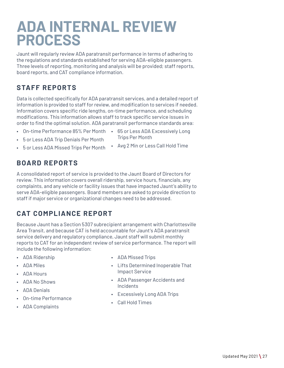## **ADA INTERNAL REVIEW PROCESS**

Jaunt will regularly review ADA paratransit performance in terms of adhering to the regulations and standards established for serving ADA-eligible passengers. Three levels of reporting, monitoring and analysis will be provided; staff reports, board reports, and CAT compliance information.

#### **STAFF REPORTS**

Data is collected specifically for ADA paratransit services, and a detailed report of information is provided to staff for review, and modification to services if needed. Information covers specific ride lengths, on-time performance, and scheduling modifications. This information allows staff to track specific service issues in order to find the optimal solution. ADA paratransit performance standards area:

- On-time Performance 85% Per Month 65 or Less ADA Excessively Long
	- Trips Per Month
- 5 or Less ADA Trip Denials Per Month
- 5 or Less ADA Missed Trips Per Month • Avg 2 Min or Less Call Hold Time

#### **BOARD REPORTS**

A consolidated report of service is provided to the Jaunt Board of Directors for review. This information covers overall ridership, service hours, financials, any complaints, and any vehicle or facility issues that have impacted Jaunt's ability to serve ADA-eligible passengers. Board members are asked to provide direction to staff if major service or organizational changes need to be addressed.

### **CAT COMPLIANCE REPORT**

Because Jaunt has a Section 5307 subrecipient arrangement with Charlottesville Area Transit, and because CAT is held accountable for Jaunt's ADA paratransit service delivery and regulatory compliance, Jaunt staff will submit monthly reports to CAT for an independent review of service performance. The report will include the following information:

- ADA Ridership
- ADA Miles
- ADA Hours
- ADA No Shows
- ADA Denials
- On-time Performance
- ADA Complaints
- ADA Missed Trips
- Lifts Determined Inoperable That Impact Service
- ADA Passenger Accidents and Incidents
- Excessively Long ADA Trips
- Call Hold Times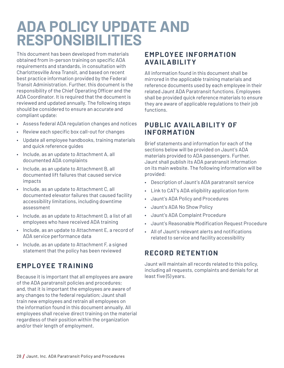# **ADA POLICY UPDATE AND RESPONSIBILITIES**

This document has been developed from materials obtained from in-person training on specific ADA requirements and standards, in consultation with Charlottesville Area Transit, and based on recent best practice information provided by the Federal Transit Administration. Further, this document is the responsibility of the Chief Operating Officer and the ADA Coordinator. It is required that the document is reviewed and updated annually. The following steps should be considered to ensure an accurate and compliant update:

- Assess federal ADA regulation changes and notices
- Review each specific box call-out for changes
- Update all employee handbooks, training materials and quick reference guides
- Include, as an update to Attachment A, all documented ADA complaints
- Include, as an update to Attachment B, all documented lift failures that caused service impacts
- Include, as an update to Attachment C, all documented elevator failures that caused facility accessibility limitations, including downtime assessment
- Include, as an update to Attachment D, a list of all employees who have received ADA training
- Include, as an update to Attachment E, a record of ADA service performance data
- Include, as an update to Attachment F, a signed statement that the policy has been reviewed

#### **EMPLOYEE TRAINING**

Because it is important that all employees are aware of the ADA paratransit policies and procedures; and, that it is important the employees are aware of any changes to the federal regulation; Jaunt shall train new employees and retrain all employees on the information found in this document annually. All employees shall receive direct training on the material regardless of their position within the organization and/or their length of employment.

#### **EM P LOY EE INF ORM AT ION AVAILABILITY**

All information found in this document shall be mirrored in the applicable training materials and reference documents used by each employee in their related Jaunt ADA Paratransit functions. Employees shall be provided quick reference materials to ensure they are aware of applicable regulations to their job functions.

#### **PUBLIC AVAILABILITY OF INFORMATION**

Brief statements and information for each of the sections below will be provided on Jaunt's ADA materials provided to ADA passengers. Further, Jaunt shall publish its ADA paratransit information on its main website. The following information will be provided:

- Description of Jaunt's ADA paratransit service
- Link to CAT's ADA eligibility application form
- Jaunt's ADA Policy and Procedures
- Jaunt's ADA No Show Policy
- Jaunt's ADA Complaint Procedure
- Jaunt's Reasonable Modification Request Procedure
- All of Jaunt's relevant alerts and notifications related to service and facility accessibility

#### **RECORD RETENTION**

Jaunt will maintain all records related to this policy, including all requests, complaints and denials for at least five (5) years.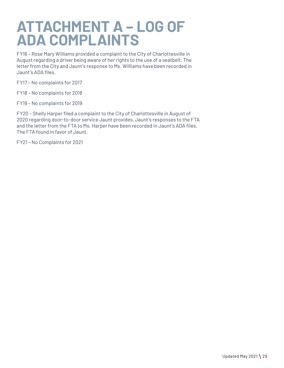# **ATTACHMENT A – LOG OF ADA COMPLAINTS**

FY16 – Rose Mary Williams provided a complaint to the City of Charlottesville in August regarding a driver being aware of her rights to the use of a seatbelt. The letter from the City and Jaunt's response to Ms. Williams have been recorded in Jaunt's ADA files.

FY17 – No complaints for 2017

FY18 – No complaints for 2018

FY19 – No complaints for 2019

FY20 – Shelly Harper filed a complaint to the City of Charlottesville in August of 2020 regarding door-to-door service Jaunt provides. Jaunt's responses to the FTA and the letter from the FTA to Ms. Harper have been recorded in Jaunt's ADA files. The FTA found in favor of Jaunt.

FY21 – No Complaints for 2021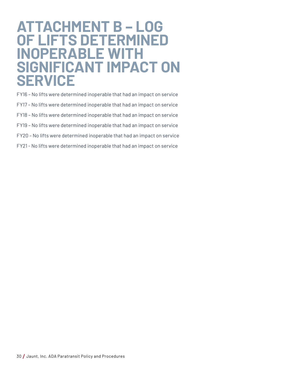## **ATTACHMENT B – LOG OF LIFTS DETERMINED INOPERABLE WITH SIGNIFICANT IMPACT ON SERVICE**

FY16 – No lifts were determined inoperable that had an impact on service FY17 – No lifts were determined inoperable that had an impact on service FY18 – No lifts were determined inoperable that had an impact on service FY19 – No lifts were determined inoperable that had an impact on service FY20 – No lifts were determined inoperable that had an impact on service FY21 - No lifts were determined inoperable that had an impact on service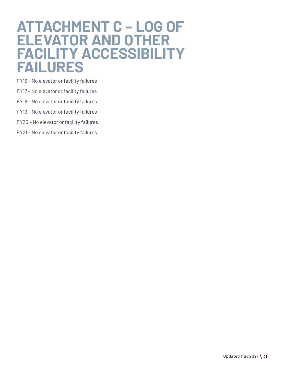## **ATTACHMENT C – LOG OF ELEVATOR AND OTHER FACILITY ACCESSIBILITY FAILURES**

FY16 – No elevator or facility failures

- FY17 No elevator or facility failures
- FY18 No elevator or facility failures
- FY19 No elevator or facility failures
- FY20 No elevator or facility failures
- FY21 No elevator or facility failures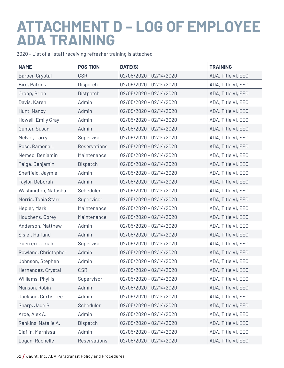# **ATTACHMENT D – LOG OF EMPLOYEE ADA TRAINING**

2020 – List of all staff receiving refresher training is attached

| <b>NAME</b>          | <b>POSITION</b> | DATE(S)                   | <b>TRAINING</b>    |
|----------------------|-----------------|---------------------------|--------------------|
| Barber, Crystal      | <b>CSR</b>      | 02/05/2020 - 02/14/2020   | ADA, Title VI, EEO |
| Bird, Patrick        | Dispatch        | 02/05/2020 - 02/14/2020   | ADA, Title VI, EEO |
| Cropp, Brian         | Distpatch       | 02/05/2020 - 02/14/2020   | ADA, Title VI, EEO |
| Davis, Karen         | Admin           | 02/05/2020 - 02/14/2020   | ADA, Title VI, EEO |
| Hunt, Nancy          | Admin           | 02/05/2020 - 02/14/2020   | ADA, Title VI, EEO |
| Howell, Emily Gray   | Admin           | 02/05/2020 - 02/14/2020   | ADA, Title VI, EEO |
| Gunter, Susan        | Admin           | 02/05/2020 - 02/14/2020   | ADA, Title VI, EEO |
| McIvor, Larry        | Supervisor      | 02/05/2020 - 02/14/2020   | ADA, Title VI, EEO |
| Rose, Ramona L       | Reservations    | 02/05/2020 - 02/14/2020   | ADA, Title VI, EEO |
| Nemec, Benjamin      | Maintenance     | 02/05/2020 - 02/14/2020   | ADA, Title VI, EEO |
| Paige, Benjamin      | Dispatch        | 02/05/2020 - 02/14/2020   | ADA, Title VI, EEO |
| Sheffield, Jaymie    | Admin           | 02/05/2020 - 02/14/2020   | ADA, Title VI, EEO |
| Taylor, Deborah      | Admin           | 02/05/2020 - 02/14/2020   | ADA, Title VI, EEO |
| Washington, Natasha  | Scheduler       | 02/05/2020 - 02/14/2020   | ADA, Title VI, EEO |
| Morris, Tonia Starr  | Supervisor      | 02/05/2020 - 02/14/2020   | ADA, Title VI, EEO |
| Hepler, Mark         | Maintenance     | 02/05/2020 - 02/14/2020   | ADA, Title VI, EEO |
| Houchens, Corey      | Maintenance     | 02/05/2020 - 02/14/2020   | ADA, Title VI, EEO |
| Anderson, Matthew    | Admin           | 02/05/2020 - 02/14/2020   | ADA, Title VI, EEO |
| Sisler, Harland      | Admin           | 02/05/2020 - 02/14/2020   | ADA, Title VI, EEO |
| Guerrero, J'riah     | Supervisor      | 02/05/2020 - 02/14/2020   | ADA, Title VI, EEO |
| Rowland, Christopher | Admin           | 02/05/2020 - 02/14/2020   | ADA, Title VI, EEO |
| Johnson, Stephen     | Admin           | 02/05/2020 - 02/14/2020   | ADA, Title VI, EEO |
| Hernandez, Crystal   | <b>CSR</b>      | 02/05/2020 - 02/14/2020   | ADA, Title VI, EEO |
| Williams, Phyllis    | Supervisor      | 02/05/2020 - 02/14/2020   | ADA, Title VI, EEO |
| Munson, Robin        | Admin           | 02/05/2020 - 02/14/2020   | ADA, Title VI, EEO |
| Jackson, Curtis Lee  | Admin           | $02/05/2020 - 02/14/2020$ | ADA, Title VI, EEO |
| Sharp, Jade B.       | Scheduler       | 02/05/2020 - 02/14/2020   | ADA, Title VI, EEO |
| Arce, Alex A.        | Admin           | 02/05/2020 - 02/14/2020   | ADA, Title VI, EEO |
| Rankins, Natalie A.  | Dispatch        | 02/05/2020 - 02/14/2020   | ADA, Title VI, EEO |
| Claflin, Marnissa    | Admin           | 02/05/2020 - 02/14/2020   | ADA, Title VI, EEO |
| Logan, Rachelle      | Reservations    | 02/05/2020 - 02/14/2020   | ADA, Title VI, EEO |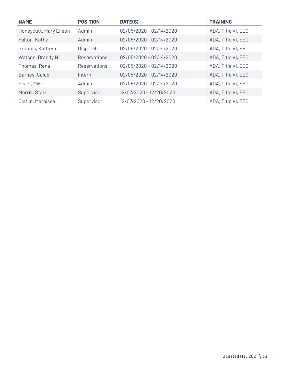| <b>NAME</b>            | <b>POSITION</b>     | DATE(S)                   | <b>TRAINING</b>    |
|------------------------|---------------------|---------------------------|--------------------|
| Honeycutt, Mary Eileen | Admin               | $02/05/2020 - 02/14/2020$ | ADA, Title VI, EEO |
| Fulton, Kathy          | Admin               | $02/05/2020 - 02/14/2020$ | ADA, Title VI, EEO |
| Grooms, Kathryn        | Dispatch            | 02/05/2020 - 02/14/2020   | ADA, Title VI, EEO |
| Watson, Brandy N.      | Reservations        | $02/05/2020 - 02/14/2020$ | ADA, Title VI, EEO |
| Thomas, Rena           | <b>Reservations</b> | 02/05/2020 - 02/14/2020   | ADA, Title VI, EEO |
| Barnes, Caleb          | Intern              | $02/05/2020 - 02/14/2020$ | ADA, Title VI, EEO |
| Sisler, Mike           | Admin               | $02/05/2020 - 02/14/2020$ | ADA, Title VI, EEO |
| Morris, Starr          | Supervisor          | 12/07/2020 - 12/20/2020   | ADA, Title VI, EEO |
| Claflin, Marnissa      | Supervisor          | 12/07/2020 - 12/20/2020   | ADA, Title VI, EEO |